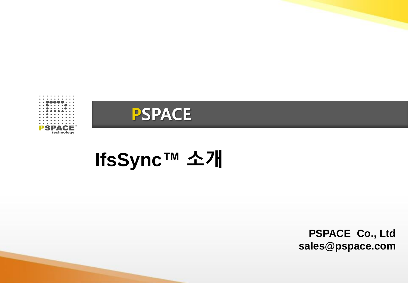



# **IfsSync™ 소개**

**PSPACE Co., Ltd sales@pspace.com**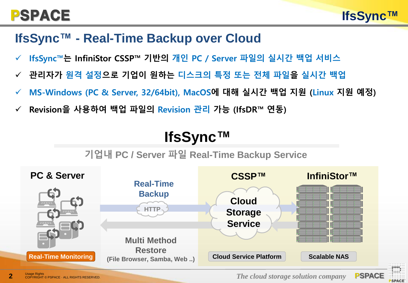#### **IfsSync™ - Real-Time Backup over Cloud**

- **IfsSync™는 InfiniStor CSSP™ 기반의 개인 PC / Server 파일의 실시간 백업 서비스**
- **관리자가 원격 설정으로 기업이 원하는 디스크의 특정 또는 전체 파일을 실시간 백업**
- **MS-Windows (PC & Server, 32/64bit), MacOS에 대해 실시간 백업 지원 (Linux 지원 예정)**
- **Revision을 사용하여 백업 파일의 Revision 관리 가능 (IfsDR™ 연동)**

# **IfsSync™**

#### **기업내 PC / Server 파일 Real-Time Backup Service**



**2** COPYRIGHT © PSPACE · ALL RIGHTS RESERVED. **2** *The cloud storage solution company* **PSPACE** 

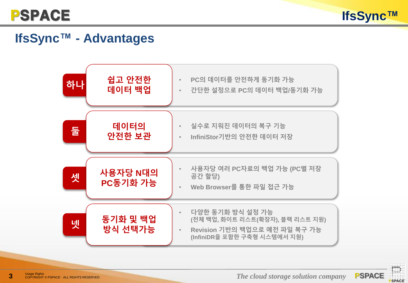



#### **IfsSync™ - Advantages**



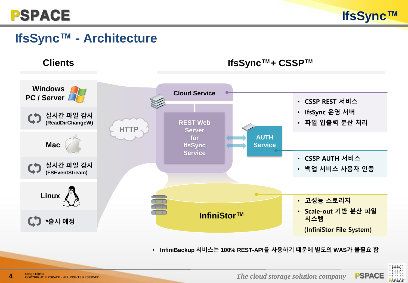

#### **IfsSync™ - Architecture**

**Clients**



• **InfiniBackup 서비스는 100% REST-API를 사용하기 때문에 별도의 WAS가 불필요 함**

**IfsSync™+ CSSP™**

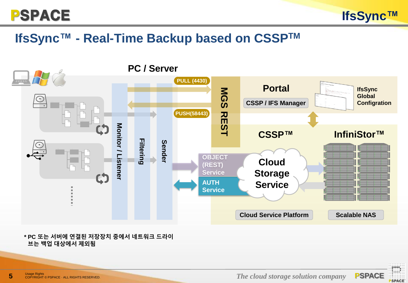

#### **IfsSync™ - Real-Time Backup based on CSSPTM**



**\* PC 또는 서버에 연결된 저장장치 중에서 네트워크 드라이 브는 백업 대상에서 제외됨**

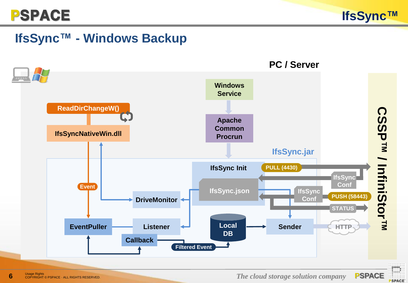

#### **IfsSync™ - Windows Backup**



**6** COPYRIGHT © PSPACE · ALL RIGHTS RESERVED. **EXPACE** USE **The cloud storage solution company PSPACE** 

**PSPACE**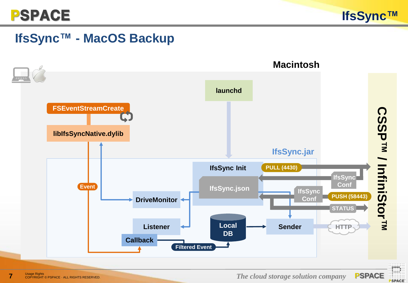

#### **IfsSync™ - MacOS Backup**



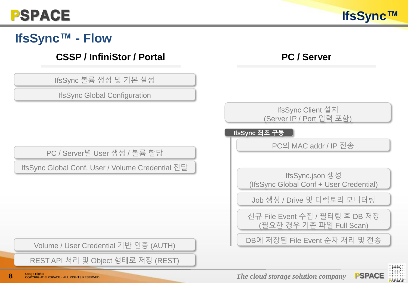# **IfsSync™ - Flow**

#### **CSSP / InfiniStor / Portal PC / Server**

IfsSync 볼륨 생성 및 기본 설정

IfsSync Global Configuration

PC / Server별 User 생성 / 볼륨 할당

IfsSync Global Conf, User / Volume Credential 전달

IfsSync Client 설치 (Server IP / Port 입력 포함)

**IfsSync 최초 구동**

PC의 MAC addr / IP 전송

IfsSync.json 생성 (IfsSync Global Conf + User Credential)

Job 생성 / Drive 및 디렉토리 모니터링

신규 File Event 수집 / 필터링 후 DB 저장 (필요한 경우 기존 파일 Full Scan)

DB<sup>에</sup> 저장된 File Event 순차 처리 <sup>및</sup> 전송 Volume / User Credential 기반 인증 (AUTH)

REST API 처리 및 Object 형태로 저장 (REST)

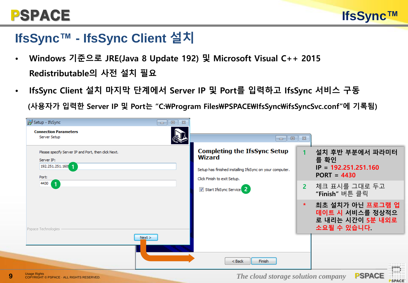#### **IfsSync™ - IfsSync Client 설치**

- **Windows 기준으로 JRE(Java 8 Update 192) 및 Microsoft Visual C++ 2015 Redistributable의 사전 설치 필요**
- **IfsSync Client 설치 마지막 단계에서 Server IP 및 Port를 입력하고 IfsSync 서비스 구동 (사용자가 입력한 Server IP 및 Port는 "C:\Program Files\PSPACE\IfsSync\ifsSyncSvc.conf"에 기록됨)**

| Setup - IfsSync                                                                                                                             | $\Sigma$<br>$\Box$<br>$\Box$ |                                                                                                                                                                                      |                          |                                                                                                                                                                                 |
|---------------------------------------------------------------------------------------------------------------------------------------------|------------------------------|--------------------------------------------------------------------------------------------------------------------------------------------------------------------------------------|--------------------------|---------------------------------------------------------------------------------------------------------------------------------------------------------------------------------|
| <b>Connection Parameters</b><br>Server Setup                                                                                                |                              | $\Box$<br>-                                                                                                                                                                          | $\Sigma$                 |                                                                                                                                                                                 |
| Please specify Server IP and Port, then click Next.<br>Server IP:<br>192.251.251.160<br>Port:<br>4430<br>1<br>Pspace Technologies<br>Next > |                              | <b>Completing the IfsSync Setup</b><br><b>Wizard</b><br>Setup has finished installing IfsSync on your computer.<br>Click Finish to exit Setup.<br>Start IfsSync Service <sup>2</sup> | $\overline{2}$<br>$\ast$ | 설치 후반 부분에서 파라미터<br>를 확인<br>$IP = 192.251.251.160$<br>$PORT = 4430$<br>체크 표시를 그대로 두고<br>"Finish" 버튼 클릭<br>최초 설치가 아닌 프로그램 업<br>데이트 시 서비스를 정상적으<br>로 내리는 시간이 5분 내외로<br>소요될 수 있습니다. |
|                                                                                                                                             |                              |                                                                                                                                                                                      |                          |                                                                                                                                                                                 |
|                                                                                                                                             |                              | Finish<br>$<$ Back                                                                                                                                                                   |                          |                                                                                                                                                                                 |



**IfsSync™**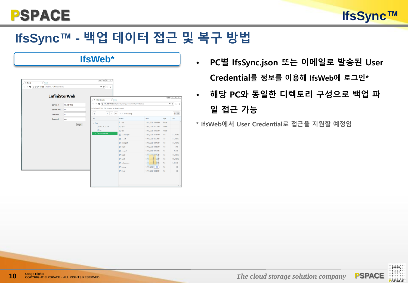

# **IfsSync™ - 백업 데이터 접근 및 복구 방법**

| C © 안전하지 않음   192.168.11.99:0000/fsweb/ |               | 新会 区 主                                                                                                             |                                   |                              |        |                                       |  |
|-----------------------------------------|---------------|--------------------------------------------------------------------------------------------------------------------|-----------------------------------|------------------------------|--------|---------------------------------------|--|
| <b>InfiniStorWeb</b>                    |               | $x/\Box$<br>P Folder Selection                                                                                     |                                   |                              |        | 80 0 E X                              |  |
| Service IP                              | 192.168.11.98 | $\leftarrow$ $\rightarrow$ $\textbf{C}$ $\mid$ $\textbf{0}$ 192.168.11.99:000/fsweb/flempr/index.html#(fr/inBackup |                                   |                              |        | $0$ $\frac{1}{2}$ $\left[1, 1\right]$ |  |
| Service Port                            | 8443          | InfiniStor V3 Web File Brawser (in development)                                                                    |                                   |                              |        |                                       |  |
| <b>Username</b>                         | lut           | ×<br>$\langle   \rangle$                                                                                           | $\uparrow$<br>$f > 1$ nfiniBackup |                              |        |                                       |  |
| Password                                | -----         | $\mathbb{R}$                                                                                                       | Name                              | Date                         | Type   | 田田<br>Size                            |  |
|                                         |               | $v_{\rm B}$                                                                                                        | Casd                              | 10/21/2017 04:48 PM Folder   |        |                                       |  |
|                                         | Singin        | CO SRECYCLE BIN                                                                                                    | $\square$ qwe                     | 10/21/2017 05:05 PM          | Folder |                                       |  |
|                                         |               | <b>DA</b>                                                                                                          | $C1$ test                         | 10/21/2017 08:50 PM          | Folder |                                       |  |
|                                         |               | > C) InfiniBackup                                                                                                  | □ 151616.pdf                      | 10/22/2017 03:19 PM File     |        | 177,061KB                             |  |
|                                         |               |                                                                                                                    | □ 34pdf                           | 10/22/2017 03:04 PM File     |        | 177.061KB                             |  |
|                                         |               |                                                                                                                    | $D$ er $D$ pdf                    | 10/22/2017 02:45 PM File     |        | 241,061KB                             |  |
|                                         |               |                                                                                                                    | Der.pdf                           | 10/22/2017 02:12 PM File     |        | 64KB                                  |  |
|                                         |               |                                                                                                                    | <sup>1</sup> ewr.pdf              | 10/22/2017 02:59 PM File     |        | 268KB                                 |  |
|                                         |               |                                                                                                                    | <b>Di</b> Ikpdf                   | 10/22/2012 02:46 PM File     |        | 241.061KB                             |  |
|                                         |               |                                                                                                                    | <b>D</b> apdf                     | 10/22<br><b>BESOLPM File</b> |        | 305,061KB                             |  |
|                                         |               |                                                                                                                    | h snippet.cpp                     | 10/22/<br>图 59PM File        |        | 31.003KB                              |  |
|                                         |               |                                                                                                                    | <b>D</b> testuar                  | 10/22/2017 > 9 % M           | File   | 08                                    |  |
|                                         |               |                                                                                                                    | <b>Phones</b>                     | 10/22/2017 04:13 PM File     |        | 0B                                    |  |

- **IfsWeb\* PC<sup>별</sup> IfsSync.json 또는 이메일로 발송된 User Credential를 정보를 이용해 IfsWeb에 로그인\***
	- **해당 PC와 동일한 디렉토리 구성으로 백업 파 일 접근 가능**
	- **\* IfsWeb에서 User Credential로 접근을 지원할 예정임**

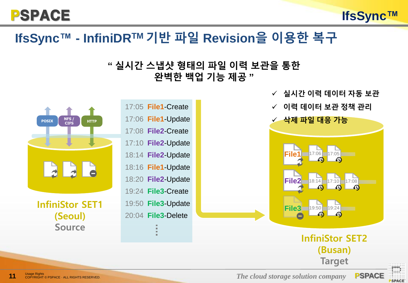PSPACE



#### **" 실시간 스냅샷 형태의 파일 이력 보관을 통한 완벽한 백업 기능 제공 "**



**The cloud storage Solution company PSPACE** COPYRIGHT © PSPACE **The cloud storage solution company** 



**IfsSync™**